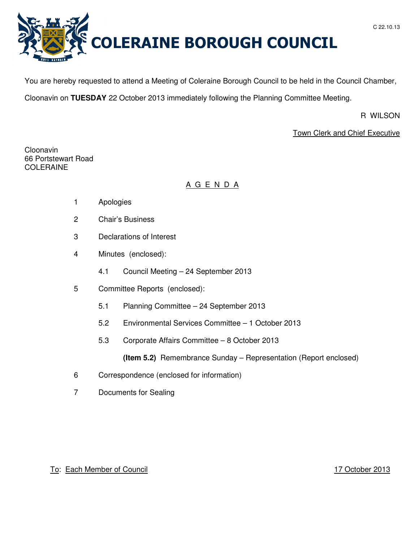

You are hereby requested to attend a Meeting of Coleraine Borough Council to be held in the Council Chamber,

Cloonavin on **TUESDAY** 22 October 2013 immediately following the Planning Committee Meeting.

R WILSON

# Town Clerk and Chief Executive

Cloonavin 66 Portstewart Road COLERAINE

# A G E N D A

- 1 Apologies
- 2 Chair's Business
- 3 Declarations of Interest
- 4 Minutes (enclosed):
	- 4.1 Council Meeting 24 September 2013
- 5 Committee Reports (enclosed):
	- 5.1 Planning Committee 24 September 2013
	- 5.2 Environmental Services Committee 1 October 2013
	- 5.3 Corporate Affairs Committee 8 October 2013

**(Item 5.2)** Remembrance Sunday – Representation (Report enclosed)

- 6 Correspondence (enclosed for information)
- 7 Documents for Sealing

To: Each Member of Council 17 October 2013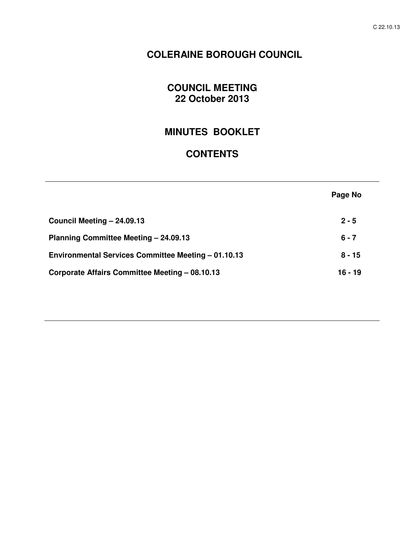# **COLERAINE BOROUGH COUNCIL**

# **COUNCIL MEETING 22 October 2013**

# **MINUTES BOOKLET**

# **CONTENTS**

|                                                     | Page No   |
|-----------------------------------------------------|-----------|
| Council Meeting - 24.09.13                          | $2 - 5$   |
| Planning Committee Meeting - 24.09.13               | $6 - 7$   |
| Environmental Services Committee Meeting - 01.10.13 | $8 - 15$  |
| Corporate Affairs Committee Meeting - 08.10.13      | $16 - 19$ |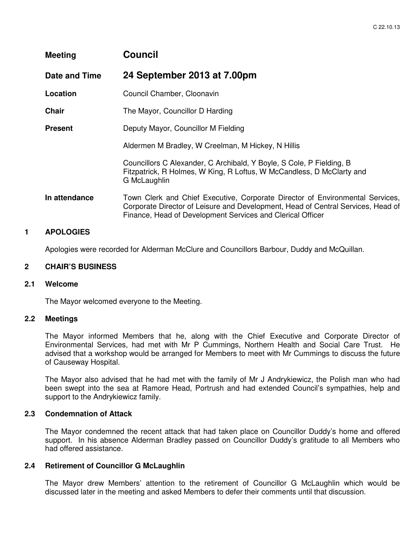| <b>Meeting</b> | <b>Council</b>                                                                                                                                                                                                                  |
|----------------|---------------------------------------------------------------------------------------------------------------------------------------------------------------------------------------------------------------------------------|
| Date and Time  | 24 September 2013 at 7.00pm                                                                                                                                                                                                     |
| Location       | Council Chamber, Cloonavin                                                                                                                                                                                                      |
| <b>Chair</b>   | The Mayor, Councillor D Harding                                                                                                                                                                                                 |
| <b>Present</b> | Deputy Mayor, Councillor M Fielding                                                                                                                                                                                             |
|                | Aldermen M Bradley, W Creelman, M Hickey, N Hillis                                                                                                                                                                              |
|                | Councillors C Alexander, C Archibald, Y Boyle, S Cole, P Fielding, B<br>Fitzpatrick, R Holmes, W King, R Loftus, W McCandless, D McClarty and<br>G McLaughlin                                                                   |
| In attendance  | Town Clerk and Chief Executive, Corporate Director of Environmental Services,<br>Corporate Director of Leisure and Development, Head of Central Services, Head of<br>Finance, Head of Development Services and Clerical Officer |

## **1 APOLOGIES**

Apologies were recorded for Alderman McClure and Councillors Barbour, Duddy and McQuillan.

#### **2 CHAIR'S BUSINESS**

#### **2.1 Welcome**

The Mayor welcomed everyone to the Meeting.

#### **2.2 Meetings**

 The Mayor informed Members that he, along with the Chief Executive and Corporate Director of Environmental Services, had met with Mr P Cummings, Northern Health and Social Care Trust. He advised that a workshop would be arranged for Members to meet with Mr Cummings to discuss the future of Causeway Hospital.

 The Mayor also advised that he had met with the family of Mr J Andrykiewicz, the Polish man who had been swept into the sea at Ramore Head, Portrush and had extended Council's sympathies, help and support to the Andrykiewicz family.

#### **2.3 Condemnation of Attack**

 The Mayor condemned the recent attack that had taken place on Councillor Duddy's home and offered support. In his absence Alderman Bradley passed on Councillor Duddy's gratitude to all Members who had offered assistance.

#### **2.4 Retirement of Councillor G McLaughlin**

The Mayor drew Members' attention to the retirement of Councillor G McLaughlin which would be discussed later in the meeting and asked Members to defer their comments until that discussion.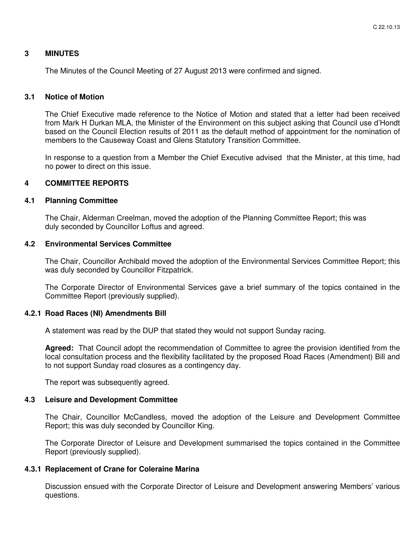#### **3 MINUTES**

The Minutes of the Council Meeting of 27 August 2013 were confirmed and signed.

#### **3.1 Notice of Motion**

 The Chief Executive made reference to the Notice of Motion and stated that a letter had been received from Mark H Durkan MLA, the Minister of the Environment on this subject asking that Council use d'Hondt based on the Council Election results of 2011 as the default method of appointment for the nomination of members to the Causeway Coast and Glens Statutory Transition Committee.

 In response to a question from a Member the Chief Executive advised that the Minister, at this time, had no power to direct on this issue.

#### **4 COMMITTEE REPORTS**

#### **4.1 Planning Committee**

 The Chair, Alderman Creelman, moved the adoption of the Planning Committee Report; this was duly seconded by Councillor Loftus and agreed.

#### **4.2 Environmental Services Committee**

The Chair, Councillor Archibald moved the adoption of the Environmental Services Committee Report; this was duly seconded by Councillor Fitzpatrick.

The Corporate Director of Environmental Services gave a brief summary of the topics contained in the Committee Report (previously supplied).

#### **4.2.1 Road Races (NI) Amendments Bill**

A statement was read by the DUP that stated they would not support Sunday racing.

**Agreed:** That Council adopt the recommendation of Committee to agree the provision identified from the local consultation process and the flexibility facilitated by the proposed Road Races (Amendment) Bill and to not support Sunday road closures as a contingency day.

The report was subsequently agreed.

#### **4.3 Leisure and Development Committee**

The Chair, Councillor McCandless, moved the adoption of the Leisure and Development Committee Report; this was duly seconded by Councillor King.

The Corporate Director of Leisure and Development summarised the topics contained in the Committee Report (previously supplied).

#### **4.3.1 Replacement of Crane for Coleraine Marina**

Discussion ensued with the Corporate Director of Leisure and Development answering Members' various questions.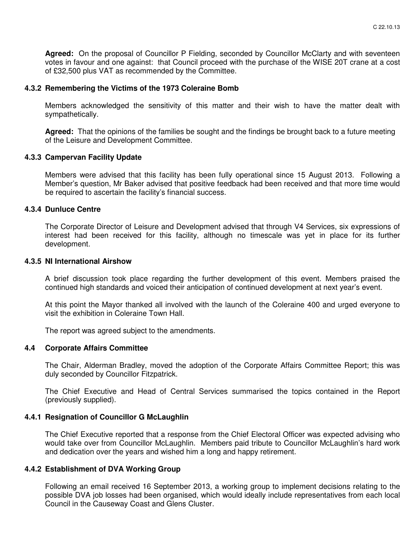**Agreed:** On the proposal of Councillor P Fielding, seconded by Councillor McClarty and with seventeen votes in favour and one against: that Council proceed with the purchase of the WISE 20T crane at a cost of £32,500 plus VAT as recommended by the Committee.

#### **4.3.2 Remembering the Victims of the 1973 Coleraine Bomb**

Members acknowledged the sensitivity of this matter and their wish to have the matter dealt with sympathetically.

**Agreed:** That the opinions of the families be sought and the findings be brought back to a future meeting of the Leisure and Development Committee.

## **4.3.3 Campervan Facility Update**

Members were advised that this facility has been fully operational since 15 August 2013. Following a Member's question, Mr Baker advised that positive feedback had been received and that more time would be required to ascertain the facility's financial success.

#### **4.3.4 Dunluce Centre**

The Corporate Director of Leisure and Development advised that through V4 Services, six expressions of interest had been received for this facility, although no timescale was yet in place for its further development.

#### **4.3.5 NI International Airshow**

A brief discussion took place regarding the further development of this event. Members praised the continued high standards and voiced their anticipation of continued development at next year's event.

At this point the Mayor thanked all involved with the launch of the Coleraine 400 and urged everyone to visit the exhibition in Coleraine Town Hall.

The report was agreed subject to the amendments.

#### **4.4 Corporate Affairs Committee**

The Chair, Alderman Bradley, moved the adoption of the Corporate Affairs Committee Report; this was duly seconded by Councillor Fitzpatrick.

The Chief Executive and Head of Central Services summarised the topics contained in the Report (previously supplied).

## **4.4.1 Resignation of Councillor G McLaughlin**

The Chief Executive reported that a response from the Chief Electoral Officer was expected advising who would take over from Councillor McLaughlin. Members paid tribute to Councillor McLaughlin's hard work and dedication over the years and wished him a long and happy retirement.

#### **4.4.2 Establishment of DVA Working Group**

Following an email received 16 September 2013, a working group to implement decisions relating to the possible DVA job losses had been organised, which would ideally include representatives from each local Council in the Causeway Coast and Glens Cluster.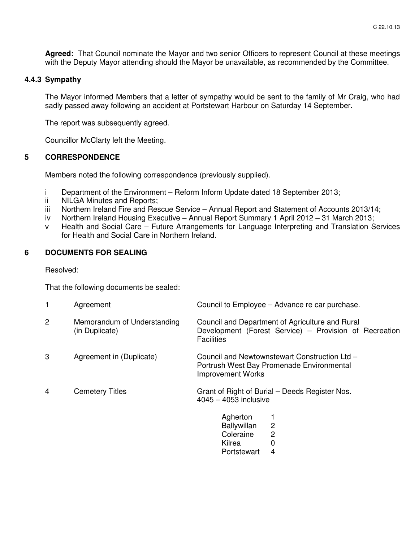**Agreed:** That Council nominate the Mayor and two senior Officers to represent Council at these meetings with the Deputy Mayor attending should the Mayor be unavailable, as recommended by the Committee.

## **4.4.3 Sympathy**

The Mayor informed Members that a letter of sympathy would be sent to the family of Mr Craig, who had sadly passed away following an accident at Portstewart Harbour on Saturday 14 September.

The report was subsequently agreed.

Councillor McClarty left the Meeting.

## **5 CORRESPONDENCE**

Members noted the following correspondence (previously supplied).

- i Department of the Environment Reform Inform Update dated 18 September 2013;
- ii NILGA Minutes and Reports;
- iii Northern Ireland Fire and Rescue Service Annual Report and Statement of Accounts 2013/14;
- iv Northern Ireland Housing Executive Annual Report Summary 1 April 2012 31 March 2013;
- v Health and Social Care Future Arrangements for Language Interpreting and Translation Services for Health and Social Care in Northern Ireland.

# **6 DOCUMENTS FOR SEALING**

Resolved:

That the following documents be sealed:

|                | Agreement                                     | Council to Employee – Advance re car purchase.                                                                                 |
|----------------|-----------------------------------------------|--------------------------------------------------------------------------------------------------------------------------------|
| $\overline{c}$ | Memorandum of Understanding<br>(in Duplicate) | Council and Department of Agriculture and Rural<br>Development (Forest Service) – Provision of Recreation<br><b>Facilities</b> |
| 3              | Agreement in (Duplicate)                      | Council and Newtownstewart Construction Ltd -<br>Portrush West Bay Promenade Environmental<br><b>Improvement Works</b>         |
| 4              | <b>Cemetery Titles</b>                        | Grant of Right of Burial – Deeds Register Nos.<br>$4045 - 4053$ inclusive                                                      |
|                |                                               | Agherton<br>$\overline{c}$<br>Ballywillan<br>$\overline{2}$<br>Coleraine<br>0<br>Kilrea<br>4<br>Portstewart                    |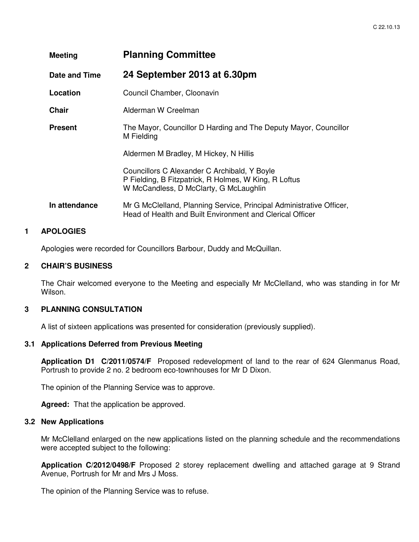| Meeting        | <b>Planning Committee</b>                                                                                                                       |
|----------------|-------------------------------------------------------------------------------------------------------------------------------------------------|
| Date and Time  | 24 September 2013 at 6.30pm                                                                                                                     |
| Location       | Council Chamber, Cloonavin                                                                                                                      |
| <b>Chair</b>   | Alderman W Creelman                                                                                                                             |
| <b>Present</b> | The Mayor, Councillor D Harding and The Deputy Mayor, Councillor<br>M Fielding                                                                  |
|                | Aldermen M Bradley, M Hickey, N Hillis                                                                                                          |
|                | Councillors C Alexander C Archibald, Y Boyle<br>P Fielding, B Fitzpatrick, R Holmes, W King, R Loftus<br>W McCandless, D McClarty, G McLaughlin |
| In attendance  | Mr G McClelland, Planning Service, Principal Administrative Officer,<br>Head of Health and Built Environment and Clerical Officer               |

## **1 APOLOGIES**

Apologies were recorded for Councillors Barbour, Duddy and McQuillan.

#### **2 CHAIR'S BUSINESS**

The Chair welcomed everyone to the Meeting and especially Mr McClelland, who was standing in for Mr Wilson.

## **3 PLANNING CONSULTATION**

A list of sixteen applications was presented for consideration (previously supplied).

#### **3.1 Applications Deferred from Previous Meeting**

**Application D1 C/2011/0574/F** Proposed redevelopment of land to the rear of 624 Glenmanus Road, Portrush to provide 2 no. 2 bedroom eco-townhouses for Mr D Dixon.

The opinion of the Planning Service was to approve.

**Agreed:** That the application be approved.

## **3.2 New Applications**

Mr McClelland enlarged on the new applications listed on the planning schedule and the recommendations were accepted subject to the following:

**Application C/2012/0498/F** Proposed 2 storey replacement dwelling and attached garage at 9 Strand Avenue, Portrush for Mr and Mrs J Moss.

The opinion of the Planning Service was to refuse.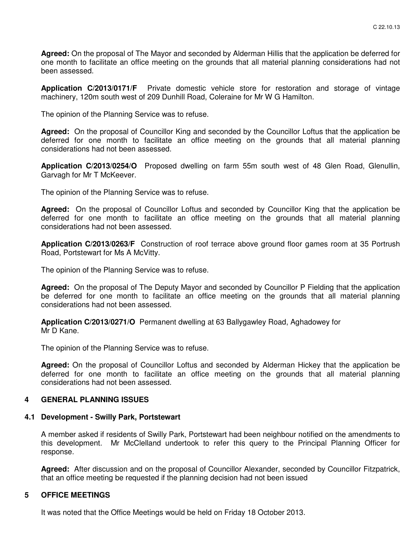**Agreed:** On the proposal of The Mayor and seconded by Alderman Hillis that the application be deferred for one month to facilitate an office meeting on the grounds that all material planning considerations had not been assessed.

**Application C/2013/0171/F** Private domestic vehicle store for restoration and storage of vintage machinery, 120m south west of 209 Dunhill Road, Coleraine for Mr W G Hamilton.

The opinion of the Planning Service was to refuse.

**Agreed:** On the proposal of Councillor King and seconded by the Councillor Loftus that the application be deferred for one month to facilitate an office meeting on the grounds that all material planning considerations had not been assessed.

**Application C/2013/0254/O** Proposed dwelling on farm 55m south west of 48 Glen Road, Glenullin, Garvagh for Mr T McKeever.

The opinion of the Planning Service was to refuse.

**Agreed:** On the proposal of Councillor Loftus and seconded by Councillor King that the application be deferred for one month to facilitate an office meeting on the grounds that all material planning considerations had not been assessed.

**Application C/2013/0263/F** Construction of roof terrace above ground floor games room at 35 Portrush Road, Portstewart for Ms A McVitty.

The opinion of the Planning Service was to refuse.

**Agreed:** On the proposal of The Deputy Mayor and seconded by Councillor P Fielding that the application be deferred for one month to facilitate an office meeting on the grounds that all material planning considerations had not been assessed.

**Application C/2013/0271/O** Permanent dwelling at 63 Ballygawley Road, Aghadowey for Mr D Kane.

The opinion of the Planning Service was to refuse.

**Agreed:** On the proposal of Councillor Loftus and seconded by Alderman Hickey that the application be deferred for one month to facilitate an office meeting on the grounds that all material planning considerations had not been assessed.

#### **4 GENERAL PLANNING ISSUES**

#### **4.1 Development - Swilly Park, Portstewart**

A member asked if residents of Swilly Park, Portstewart had been neighbour notified on the amendments to this development. Mr McClelland undertook to refer this query to the Principal Planning Officer for response.

**Agreed:** After discussion and on the proposal of Councillor Alexander, seconded by Councillor Fitzpatrick, that an office meeting be requested if the planning decision had not been issued

#### **5 OFFICE MEETINGS**

It was noted that the Office Meetings would be held on Friday 18 October 2013.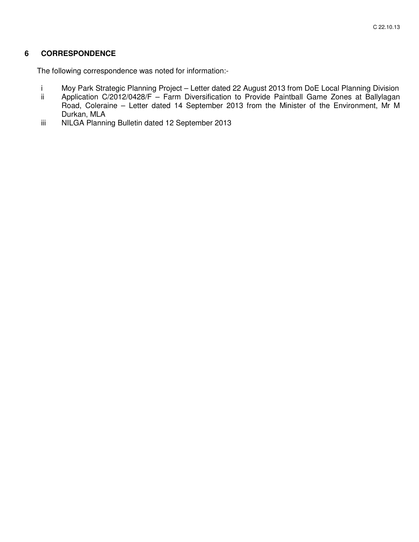## **6 CORRESPONDENCE**

The following correspondence was noted for information:-

- i Moy Park Strategic Planning Project Letter dated 22 August 2013 from DoE Local Planning Division<br>ii Application C/2012/0428/F Farm Diversification to Provide Paintball Game Zones at Ballylagan
- Application C/2012/0428/F Farm Diversification to Provide Paintball Game Zones at Ballylagan Road, Coleraine – Letter dated 14 September 2013 from the Minister of the Environment, Mr M Durkan, MLA
- iii NILGA Planning Bulletin dated 12 September 2013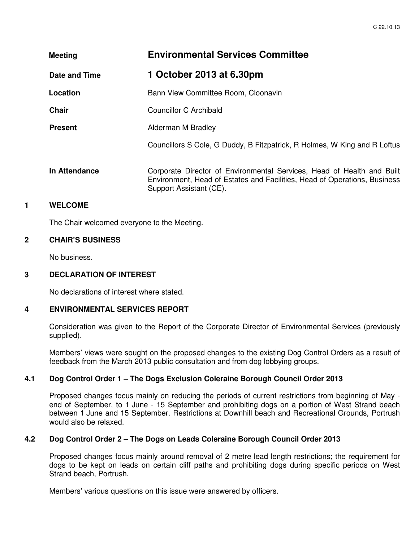| <b>Meeting</b> | <b>Environmental Services Committee</b>                                                                                                                                        |
|----------------|--------------------------------------------------------------------------------------------------------------------------------------------------------------------------------|
| Date and Time  | 1 October 2013 at 6.30pm                                                                                                                                                       |
| Location       | Bann View Committee Room, Cloonavin                                                                                                                                            |
| <b>Chair</b>   | Councillor C Archibald                                                                                                                                                         |
| <b>Present</b> | Alderman M Bradley                                                                                                                                                             |
|                | Councillors S Cole, G Duddy, B Fitzpatrick, R Holmes, W King and R Loftus                                                                                                      |
| In Attendance  | Corporate Director of Environmental Services, Head of Health and Built<br>Environment, Head of Estates and Facilities, Head of Operations, Business<br>Support Assistant (CE). |

## **1 WELCOME**

The Chair welcomed everyone to the Meeting.

#### **2 CHAIR'S BUSINESS**

No business.

#### **3 DECLARATION OF INTEREST**

No declarations of interest where stated.

#### **4 ENVIRONMENTAL SERVICES REPORT**

Consideration was given to the Report of the Corporate Director of Environmental Services (previously supplied).

Members' views were sought on the proposed changes to the existing Dog Control Orders as a result of feedback from the March 2013 public consultation and from dog lobbying groups.

# **4.1 Dog Control Order 1 – The Dogs Exclusion Coleraine Borough Council Order 2013**

Proposed changes focus mainly on reducing the periods of current restrictions from beginning of May end of September, to 1 June - 15 September and prohibiting dogs on a portion of West Strand beach between 1 June and 15 September. Restrictions at Downhill beach and Recreational Grounds, Portrush would also be relaxed.

## **4.2 Dog Control Order 2 – The Dogs on Leads Coleraine Borough Council Order 2013**

Proposed changes focus mainly around removal of 2 metre lead length restrictions; the requirement for dogs to be kept on leads on certain cliff paths and prohibiting dogs during specific periods on West Strand beach, Portrush.

Members' various questions on this issue were answered by officers.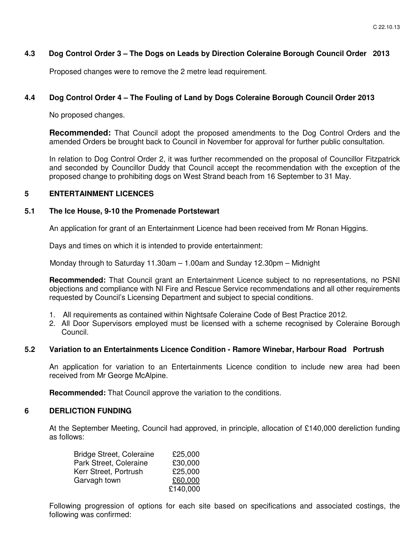## **4.3 Dog Control Order 3 – The Dogs on Leads by Direction Coleraine Borough Council Order 2013**

Proposed changes were to remove the 2 metre lead requirement.

## **4.4 Dog Control Order 4 – The Fouling of Land by Dogs Coleraine Borough Council Order 2013**

No proposed changes.

**Recommended:** That Council adopt the proposed amendments to the Dog Control Orders and the amended Orders be brought back to Council in November for approval for further public consultation.

In relation to Dog Control Order 2, it was further recommended on the proposal of Councillor Fitzpatrick and seconded by Councillor Duddy that Council accept the recommendation with the exception of the proposed change to prohibiting dogs on West Strand beach from 16 September to 31 May.

#### **5 ENTERTAINMENT LICENCES**

#### **5.1 The Ice House, 9-10 the Promenade Portstewart**

An application for grant of an Entertainment Licence had been received from Mr Ronan Higgins.

Days and times on which it is intended to provide entertainment:

Monday through to Saturday 11.30am – 1.00am and Sunday 12.30pm – Midnight

**Recommended:** That Council grant an Entertainment Licence subject to no representations, no PSNI objections and compliance with NI Fire and Rescue Service recommendations and all other requirements requested by Council's Licensing Department and subject to special conditions.

- 1. All requirements as contained within Nightsafe Coleraine Code of Best Practice 2012.
- 2. All Door Supervisors employed must be licensed with a scheme recognised by Coleraine Borough Council.

#### **5.2 Variation to an Entertainments Licence Condition - Ramore Winebar, Harbour Road Portrush**

An application for variation to an Entertainments Licence condition to include new area had been received from Mr George McAlpine.

**Recommended:** That Council approve the variation to the conditions.

#### **6 DERLICTION FUNDING**

At the September Meeting, Council had approved, in principle, allocation of £140,000 dereliction funding as follows:

| <b>Bridge Street, Coleraine</b> | £25,000  |
|---------------------------------|----------|
| Park Street, Coleraine          | £30,000  |
| Kerr Street, Portrush           | £25,000  |
| Garvagh town                    | £60,000  |
|                                 | £140,000 |

Following progression of options for each site based on specifications and associated costings, the following was confirmed: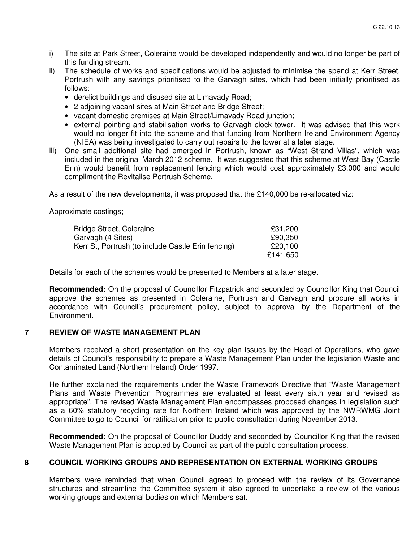- i) The site at Park Street, Coleraine would be developed independently and would no longer be part of this funding stream.
- ii) The schedule of works and specifications would be adjusted to minimise the spend at Kerr Street, Portrush with any savings prioritised to the Garvagh sites, which had been initially prioritised as follows:
	- derelict buildings and disused site at Limavady Road;
	- 2 adjoining vacant sites at Main Street and Bridge Street;
	- vacant domestic premises at Main Street/Limavady Road junction;
	- external pointing and stabilisation works to Garvagh clock tower. It was advised that this work would no longer fit into the scheme and that funding from Northern Ireland Environment Agency (NIEA) was being investigated to carry out repairs to the tower at a later stage.
- iii) One small additional site had emerged in Portrush, known as "West Strand Villas", which was included in the original March 2012 scheme. It was suggested that this scheme at West Bay (Castle Erin) would benefit from replacement fencing which would cost approximately £3,000 and would compliment the Revitalise Portrush Scheme.

As a result of the new developments, it was proposed that the £140,000 be re-allocated viz:

Approximate costings;

| Bridge Street, Coleraine                           | £31,200  |
|----------------------------------------------------|----------|
| Garvagh (4 Sites)                                  | £90,350  |
| Kerr St, Portrush (to include Castle Erin fencing) | £20,100  |
|                                                    | £141,650 |

Details for each of the schemes would be presented to Members at a later stage.

**Recommended:** On the proposal of Councillor Fitzpatrick and seconded by Councillor King that Council approve the schemes as presented in Coleraine, Portrush and Garvagh and procure all works in accordance with Council's procurement policy, subject to approval by the Department of the Environment.

## **7 REVIEW OF WASTE MANAGEMENT PLAN**

Members received a short presentation on the key plan issues by the Head of Operations, who gave details of Council's responsibility to prepare a Waste Management Plan under the legislation Waste and Contaminated Land (Northern Ireland) Order 1997.

He further explained the requirements under the Waste Framework Directive that "Waste Management Plans and Waste Prevention Programmes are evaluated at least every sixth year and revised as appropriate". The revised Waste Management Plan encompasses proposed changes in legislation such as a 60% statutory recycling rate for Northern Ireland which was approved by the NWRWMG Joint Committee to go to Council for ratification prior to public consultation during November 2013.

**Recommended:** On the proposal of Councillor Duddy and seconded by Councillor King that the revised Waste Management Plan is adopted by Council as part of the public consultation process.

#### **8 COUNCIL WORKING GROUPS AND REPRESENTATION ON EXTERNAL WORKING GROUPS**

Members were reminded that when Council agreed to proceed with the review of its Governance structures and streamline the Committee system it also agreed to undertake a review of the various working groups and external bodies on which Members sat.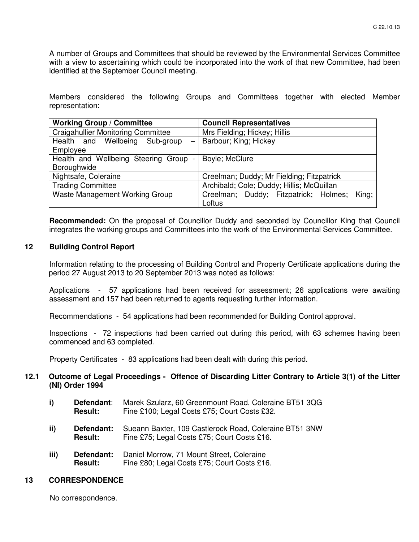A number of Groups and Committees that should be reviewed by the Environmental Services Committee with a view to ascertaining which could be incorporated into the work of that new Committee, had been identified at the September Council meeting.

Members considered the following Groups and Committees together with elected Member representation:

| <b>Working Group / Committee</b>                    | <b>Council Representatives</b>                 |
|-----------------------------------------------------|------------------------------------------------|
| <b>Craigahullier Monitoring Committee</b>           | Mrs Fielding; Hickey; Hillis                   |
| Health and Wellbeing Sub-group<br>$\qquad \qquad -$ | Barbour; King; Hickey                          |
| Employee                                            |                                                |
| Health and Wellbeing Steering Group -               | Boyle; McClure                                 |
| Boroughwide                                         |                                                |
| Nightsafe, Coleraine                                | Creelman; Duddy; Mr Fielding; Fitzpatrick      |
| <b>Trading Committee</b>                            | Archibald; Cole; Duddy; Hillis; McQuillan      |
| Waste Management Working Group                      | King;<br>Creelman; Duddy; Fitzpatrick; Holmes; |
|                                                     | Loftus                                         |

**Recommended:** On the proposal of Councillor Duddy and seconded by Councillor King that Council integrates the working groups and Committees into the work of the Environmental Services Committee.

## **12 Building Control Report**

Information relating to the processing of Building Control and Property Certificate applications during the period 27 August 2013 to 20 September 2013 was noted as follows:

Applications - 57 applications had been received for assessment; 26 applications were awaiting assessment and 157 had been returned to agents requesting further information.

Recommendations - 54 applications had been recommended for Building Control approval.

Inspections - 72 inspections had been carried out during this period, with 63 schemes having been commenced and 63 completed.

Property Certificates - 83 applications had been dealt with during this period.

## **12.1 Outcome of Legal Proceedings - Offence of Discarding Litter Contrary to Article 3(1) of the Litter (NI) Order 1994**

- **i) Defendant**: Marek Szularz, 60 Greenmount Road, Coleraine BT51 3QG **Result:** Fine £100; Legal Costs £75; Court Costs £32.
- ii) **Defendant:** Sueann Baxter, 109 Castlerock Road, Coleraine BT51 3NW<br>**Result:** Fine £75: Legal Costs £75: Court Costs £16. Fine £75; Legal Costs £75; Court Costs £16.
- **iii) Defendant:** Daniel Morrow, 71 Mount Street, Coleraine **Result:** Fine £80; Legal Costs £75; Court Costs £16.

# **13 CORRESPONDENCE**

No correspondence.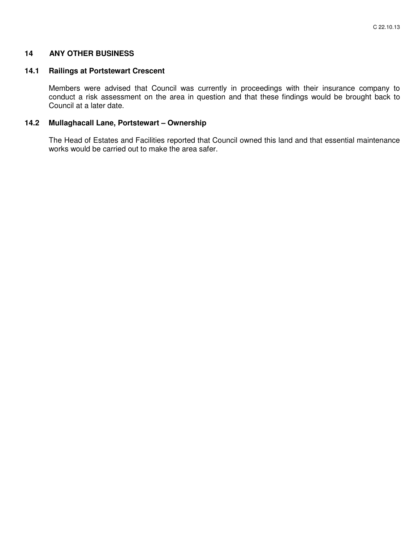## **14 ANY OTHER BUSINESS**

## **14.1 Railings at Portstewart Crescent**

Members were advised that Council was currently in proceedings with their insurance company to conduct a risk assessment on the area in question and that these findings would be brought back to Council at a later date.

## **14.2 Mullaghacall Lane, Portstewart – Ownership**

The Head of Estates and Facilities reported that Council owned this land and that essential maintenance works would be carried out to make the area safer.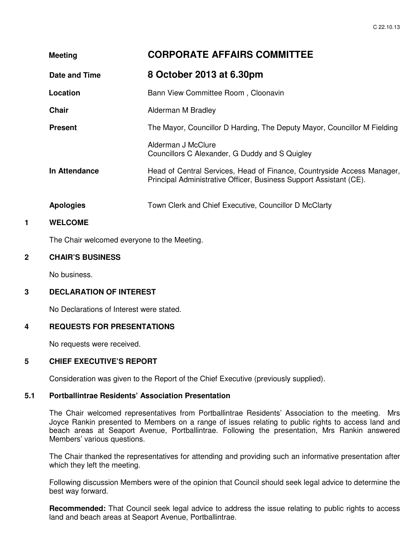| <b>Meeting</b>   | <b>CORPORATE AFFAIRS COMMITTEE</b>                                                                                                           |
|------------------|----------------------------------------------------------------------------------------------------------------------------------------------|
| Date and Time    | 8 October 2013 at 6.30pm                                                                                                                     |
| Location         | Bann View Committee Room, Cloonavin                                                                                                          |
| <b>Chair</b>     | Alderman M Bradley                                                                                                                           |
| <b>Present</b>   | The Mayor, Councillor D Harding, The Deputy Mayor, Councillor M Fielding                                                                     |
|                  | Alderman J McClure<br>Councillors C Alexander, G Duddy and S Quigley                                                                         |
| In Attendance    | Head of Central Services, Head of Finance, Countryside Access Manager,<br>Principal Administrative Officer, Business Support Assistant (CE). |
| <b>Apologies</b> | Town Clerk and Chief Executive, Councillor D McClarty                                                                                        |
| <b>WELCOME</b>   |                                                                                                                                              |

The Chair welcomed everyone to the Meeting.

## **2 CHAIR'S BUSINESS**

No business.

#### **3 DECLARATION OF INTEREST**

No Declarations of Interest were stated.

#### **4 REQUESTS FOR PRESENTATIONS**

No requests were received.

## **5 CHIEF EXECUTIVE'S REPORT**

Consideration was given to the Report of the Chief Executive (previously supplied).

# **5.1 Portballintrae Residents' Association Presentation**

The Chair welcomed representatives from Portballintrae Residents' Association to the meeting. Mrs Joyce Rankin presented to Members on a range of issues relating to public rights to access land and beach areas at Seaport Avenue, Portballintrae. Following the presentation, Mrs Rankin answered Members' various questions.

The Chair thanked the representatives for attending and providing such an informative presentation after which they left the meeting.

Following discussion Members were of the opinion that Council should seek legal advice to determine the best way forward.

**Recommended:** That Council seek legal advice to address the issue relating to public rights to access land and beach areas at Seaport Avenue, Portballintrae.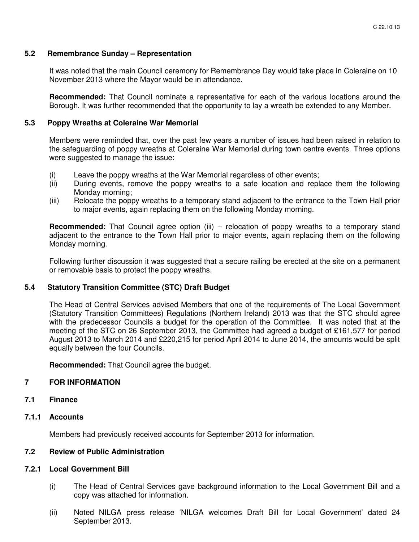## **5.2 Remembrance Sunday – Representation**

It was noted that the main Council ceremony for Remembrance Day would take place in Coleraine on 10 November 2013 where the Mayor would be in attendance.

**Recommended:** That Council nominate a representative for each of the various locations around the Borough. It was further recommended that the opportunity to lay a wreath be extended to any Member.

#### **5.3 Poppy Wreaths at Coleraine War Memorial**

Members were reminded that, over the past few years a number of issues had been raised in relation to the safeguarding of poppy wreaths at Coleraine War Memorial during town centre events. Three options were suggested to manage the issue:

- (i) Leave the poppy wreaths at the War Memorial regardless of other events;
- (ii) During events, remove the poppy wreaths to a safe location and replace them the following Monday morning;
- (iii) Relocate the poppy wreaths to a temporary stand adjacent to the entrance to the Town Hall prior to major events, again replacing them on the following Monday morning.

**Recommended:** That Council agree option (iii) – relocation of poppy wreaths to a temporary stand adjacent to the entrance to the Town Hall prior to major events, again replacing them on the following Monday morning.

Following further discussion it was suggested that a secure railing be erected at the site on a permanent or removable basis to protect the poppy wreaths.

#### **5.4 Statutory Transition Committee (STC) Draft Budget**

The Head of Central Services advised Members that one of the requirements of The Local Government (Statutory Transition Committees) Regulations (Northern Ireland) 2013 was that the STC should agree with the predecessor Councils a budget for the operation of the Committee. It was noted that at the meeting of the STC on 26 September 2013, the Committee had agreed a budget of £161,577 for period August 2013 to March 2014 and £220,215 for period April 2014 to June 2014, the amounts would be split equally between the four Councils.

**Recommended:** That Council agree the budget.

## **7 FOR INFORMATION**

**7.1 Finance** 

## **7.1.1 Accounts**

Members had previously received accounts for September 2013 for information.

## **7.2 Review of Public Administration**

#### **7.2.1 Local Government Bill**

- (i) The Head of Central Services gave background information to the Local Government Bill and a copy was attached for information.
- (ii) Noted NILGA press release 'NILGA welcomes Draft Bill for Local Government' dated 24 September 2013.